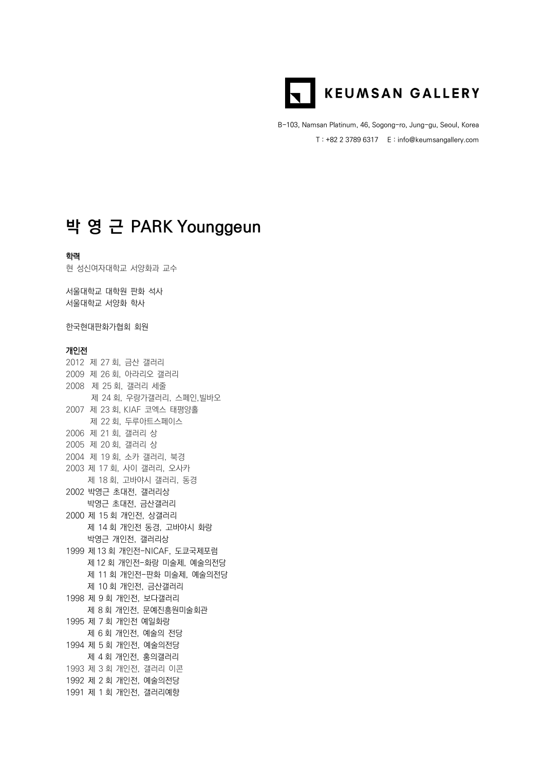

B-103, Namsan Platinum, 46, Sogong-ro, Jung-gu, Seoul, Korea T : +82 2 3789 6317 E : info@keumsangallery.com

# **박 영 근 PARK Younggeun**

## 학력

현 성신여자대학교 서양화과 교수

서울대학교 대학원 판화 석사 서울대학교 서양화 학사

한국현대판화가협회 회원

## 개인전

2012 제 27 회, 금산 갤러리 2009 제 26 회, 아라리오 갤러리 2008 제 25 회, 갤러리 세줄 제 24 회, 우랑가갤러리, 스페인,빌바오 2007 제 23 회, KIAF 코엑스 태평양홀 제 22 회, 두루아트스페이스 2006 제 21 회, 갤러리 상 2005 제 20 회, 갤러리 상 2004 제 19 회, 소카 갤러리, 북경 2003 제 17 회, 사이 갤러리, 오사카 제 18 회, 고바야시 갤러리, 동경 2002 박영근 초대전, 갤러리상 박영근 초대전, 금산갤러리 2000 제 15 회 개인전, 상갤러리 제 14 회 개인전 동경, 고바야시 화랑 박영근 개인전, 갤러리상 1999 제 13 회 개인전-NICAF, 도쿄국제포럼 제 12 회 개인전-화랑 미술제, 예술의전당 제 11 회 개인전-판화 미술제, 예술의전당 제 10 회 개인전, 금산갤러리 1998 제 9 회 개인전, 보다갤러리 제 8 회 개인전, 문예진흥원미술회관 1995 제 7 회 개인전 예일화랑 제 6 회 개인전, 예술의 전당 1994 제 5 회 개인전, 예술의전당 제 4 회 개인전, 홍의갤러리 1993 제 3 회 개인전, 갤러리 이콘 1992 제 2 회 개인전, 예술의전당 1991 제 1 회 개인전, 갤러리예향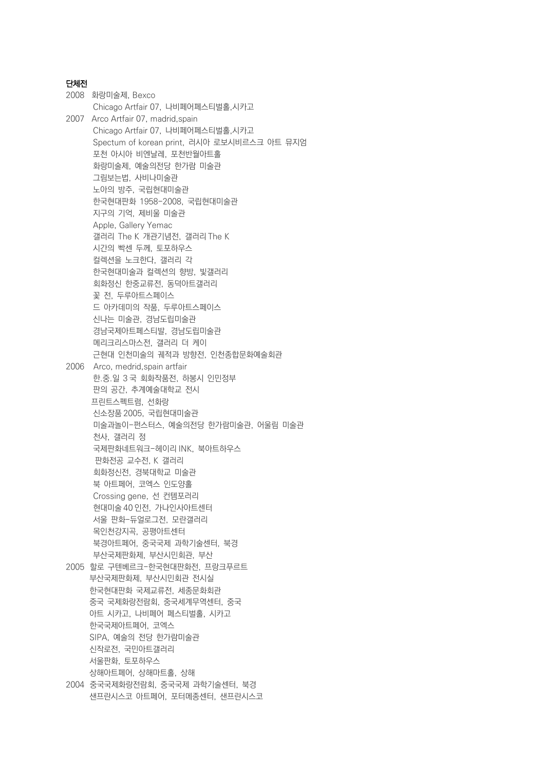## 단체전

2008 화랑미술제, Bexco Chicago Artfair 07, 나비페어페스티벌홀,시카고 2007 Arco Artfair 07, madrid,spain Chicago Artfair 07, 나비페어페스티벌홀,시카고 Spectum of korean print, 러시아 로보시비르스크 아트 뮤지엄 포천 아시아 비엔날레, 포천반월아트홀 화랑미술제, 예술의전당 한가람 미술관 그림보는법, 사비나미술관 노아의 방주, 국립현대미술관 한국현대판화 1958-2008, 국립현대미술관 지구의 기억, 제비울 미술관 Apple, Gallery Yemac 갤러리 The K 개관기념전, 갤러리 The K 시간의 빡센 두께, 토포하우스 컬렉션을 노크한다, 갤러리 각 한국현대미술과 컬렉션의 향방, 빛갤러리 회화정신 한중교류전, 동덕아트갤러리 꽃 전, 두루아트스페이스 드 아카데미의 작품, 두루아트스페이스 신나는 미술관, 경남도립미술관 경남국제아트페스티발, 경남도립미술관 메리크리스마스전, 갤러리 더 케이 근현대 인천미술의 궤적과 방향전, 인천종합문화예술회관 2006 Arco, medrid,spain artfair 한.중.일 3 국 회화작품전, 하봉시 인민정부 판의 공간, 추계예술대학교 전시 프린트스펙트럼, 선화랑 신소장품 2005, 국립현대미술관 미술과놀이-펀스터스, 예술의전당 한가람미술관, 어울림 미술관 천사, 갤러리 정 국제판화네트워크-헤이리 INK, 북아트하우스 판화전공 교수전, K 갤러리 회화정신전, 경북대학교 미술관 북 아트페어, 코엑스 인도양홀 Crossing gene, 선 컨템포러리 현대미술 40 인전, 가나인사아트센터 서울 판화-듀얼로그전, 모란갤러리 목인천강지곡, 공평아트센터 북경아트페어, 중국국제 과학기술센터, 북경 부산국제판화제, 부산시민회관, 부산 2005 할로 구텐베르크-한국현대판화전, 프랑크푸르트 부산국제판화제, 부산시민회관 전시실 한국현대판화 국제교류전, 세종문화회관 중국 국제화랑전람회, 중국세계무역센터, 중국 아트 시카고, 나비페어 페스티벌홀, 시카고 한국국제아트페어, 코엑스 SIPA, 예술의 전당 한가람미술관 신작로전, 국민아트갤러리 서울판화, 토포하우스 상해아트페어, 상해마트홀, 상해

2004 중국국제화랑전람회, 중국국제 과학기술센터, 북경 샌프란시스코 아트페어, 포터메종센터, 샌프란시스코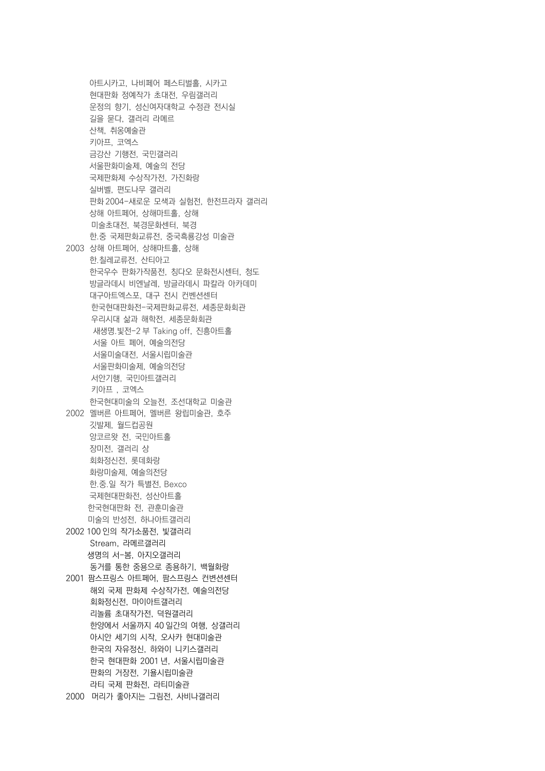아트시카고, 나비페어 페스티벌홀, 시카고 현대판화 정예작가 초대전, 우림갤러리 운정의 향기, 성신여자대학교 수정관 전시실 길을 묻다, 갤러리 라메르 산책, 취옹예술관 키아프, 코엑스 금강산 기행전, 국민갤러리 서울판화미술제, 예술의 전당 국제판화제 수상작가전, 가진화랑 실버벨, 편도나무 갤러리 판화 2004-새로운 모색과 실험전, 한전프라자 갤러리 상해 아트페어, 상해마트홀, 상해 미술초대전, 북경문화센터, 북경 한.중 국제판화교류전, 중국흑룡강성 미술관 2003 상해 아트페어, 상해마트홀, 상해 한.칠레교류전, 산티아고 한국우수 판화가작품전, 칭다오 문화전시센터, 청도 방글라데시 비엔날레, 방글라데시 파칼라 아카데미 대구아트엑스포, 대구 전시 컨벤션센터 한국현대판화전-국제판화교류전, 세종문화회관 우리시대 삶과 해학전, 세종문화회관 새생명.빛전-2 부 Taking off, 진흥아트홀 서울 아트 페어, 예술의전당 서울미술대전, 서울시립미술관 서울판화미술제, 예술의전당 서안기행, 국민아트갤러리 키아프 , 코엑스 한국현대미술의 오늘전, 조선대학교 미술관 2002 멜버른 아트페어, 멜버른 왕립미술관, 호주 깃발제, 월드컵공원 앙코르왓 전, 국민아트홀 장미전, 갤러리 상 회화정신전, 롯데화랑 화랑미술제, 예술의전당 한.중.일 작가 특별전, Bexco 국제현대판화전, 성산아트홀 한국현대판화 전, 관훈미술관 미술의 반성전, 하나아트갤러리 2002 100 인의 작가소품전, 빛갤러리 Stream, 라메르갤러리 생명의 서-봄, 아지오갤러리 동거를 통한 중용으로 종용하기, 백월화랑 2001 팜스프링스 아트페어, 팜스프링스 컨변션센터 해외 국제 판화제 수상작가전, 예술의전당 회화정신전, 마이아트갤러리 리놀륨 초대작가전, 덕원갤러리 한양에서 서울까지 40 일간의 여행, 상갤러리 아시안 세기의 시작, 오사카 현대미술관 한국의 자유정신, 하와이 니키스갤러리 한국 현대판화 2001 년, 서울시립미술관 판화의 거장전, 기욜시립미술관 라티 국제 판화전, 라티미술관

2000 머리가 좋아지는 그림전, 사비나갤러리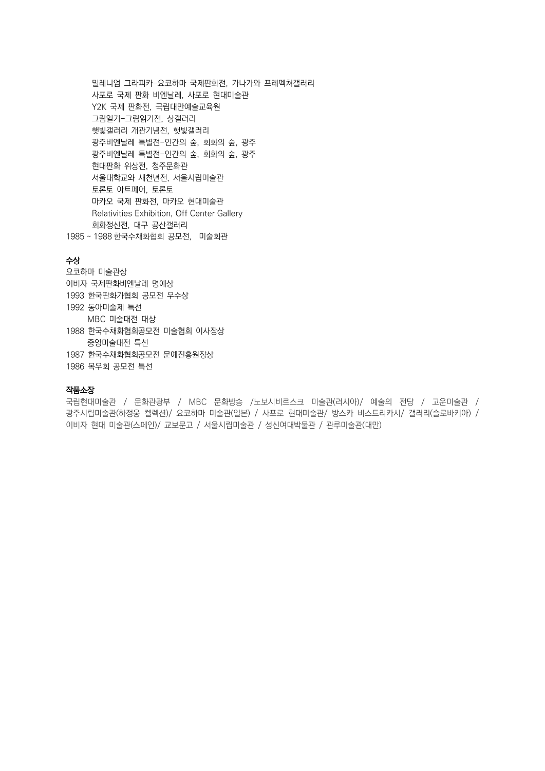밀레니엄 그라피카-요코하마 국제판화전, 가나가와 프레펙쳐갤러리 사포로 국제 판화 비엔날레, 사포로 현대미술관 Y2K 국제 판화전, 국립대만예술교육원 그림일기-그림읽기전, 상갤러리 햇빛갤러리 개관기념전, 햇빛갤러리 광주비엔날레 특별전-인간의 숲, 회화의 숲, 광주 광주비엔날레 특별전-인간의 숲, 회화의 숲, 광주 현대판화 위상전, 청주문화관 서울대학교와 새천년전, 서울시립미술관 토론토 아트페어, 토론토 마카오 국제 판화전, 마카오 현대미술관 Relativities Exhibition, Off Center Gallery 회화정신전, 대구 공산갤러리 1985 ~ 1988 한국수채화협회 공모전, 미술회관

## 수상

요코하마 미술관상 이비자 국제판화비엔날레 명예상 1993 한국판화가협회 공모전 우수상 1992 동아미술제 특선 MBC 미술대전 대상 1988 한국수채화협회공모전 미술협회 이사장상 중앙미술대전 특선 1987 한국수채화협회공모전 문예진흥원장상 1986 목우회 공모전 특선

#### 작품소장

국립현대미술관 / 문화관광부 / MBC 문화방송 /노보시비르스크 미술관(러시아)/ 예술의 전당 / 고운미술관 / 광주시립미술관(하정웅 켈렉션)/ 요코하마 미술관(일본) / 사포로 현대미술관/ 방스카 비스트리카시/ 갤러리(슬로바키아) / 이비자 현대 미술관(스페인)/ 교보문고 / 서울시립미술관 / 성신여대박물관 / 관루미술관(대만)